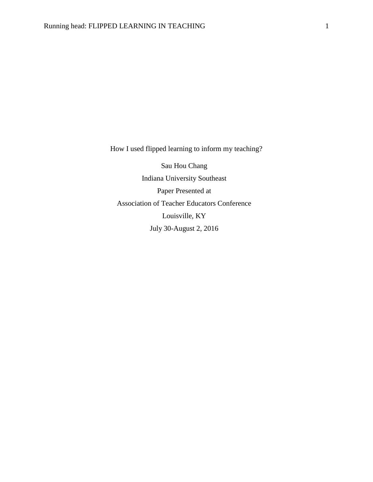How I used flipped learning to inform my teaching?

Sau Hou Chang Indiana University Southeast Paper Presented at Association of Teacher Educators Conference Louisville, KY July 30-August 2, 2016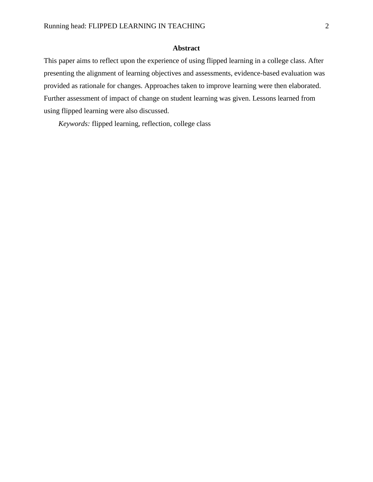## **Abstract**

This paper aims to reflect upon the experience of using flipped learning in a college class. After presenting the alignment of learning objectives and assessments, evidence-based evaluation was provided as rationale for changes. Approaches taken to improve learning were then elaborated. Further assessment of impact of change on student learning was given. Lessons learned from using flipped learning were also discussed.

*Keywords:* flipped learning, reflection, college class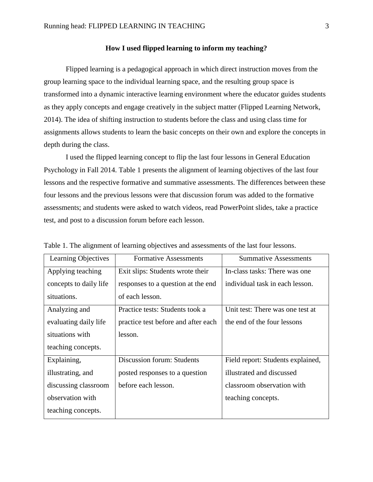## **How I used flipped learning to inform my teaching?**

Flipped learning is a pedagogical approach in which direct instruction moves from the group learning space to the individual learning space, and the resulting group space is transformed into a dynamic interactive learning environment where the educator guides students as they apply concepts and engage creatively in the subject matter (Flipped Learning Network, 2014). The idea of shifting instruction to students before the class and using class time for assignments allows students to learn the basic concepts on their own and explore the concepts in depth during the class.

I used the flipped learning concept to flip the last four lessons in General Education Psychology in Fall 2014. Table 1 presents the alignment of learning objectives of the last four lessons and the respective formative and summative assessments. The differences between these four lessons and the previous lessons were that discussion forum was added to the formative assessments; and students were asked to watch videos, read PowerPoint slides, take a practice test, and post to a discussion forum before each lesson.

| Learning Objectives    | <b>Formative Assessments</b>        | <b>Summative Assessments</b>      |
|------------------------|-------------------------------------|-----------------------------------|
| Applying teaching      | Exit slips: Students wrote their    | In-class tasks: There was one     |
| concepts to daily life | responses to a question at the end  | individual task in each lesson.   |
| situations.            | of each lesson.                     |                                   |
| Analyzing and          | Practice tests: Students took a     | Unit test: There was one test at  |
| evaluating daily life  | practice test before and after each | the end of the four lessons       |
| situations with        | lesson.                             |                                   |
| teaching concepts.     |                                     |                                   |
| Explaining,            | Discussion forum: Students          | Field report: Students explained, |
| illustrating, and      | posted responses to a question      | illustrated and discussed         |
| discussing classroom   | before each lesson.                 | classroom observation with        |
| observation with       |                                     | teaching concepts.                |
| teaching concepts.     |                                     |                                   |

Table 1. The alignment of learning objectives and assessments of the last four lessons.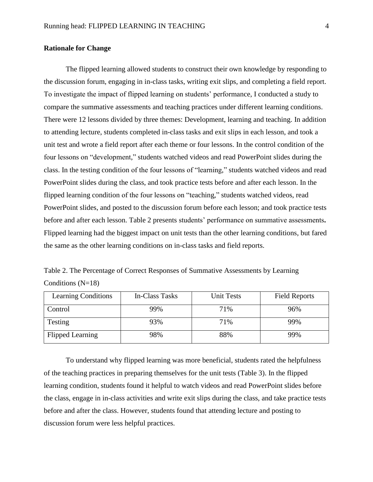## **Rationale for Change**

The flipped learning allowed students to construct their own knowledge by responding to the discussion forum, engaging in in-class tasks, writing exit slips, and completing a field report. To investigate the impact of flipped learning on students' performance, I conducted a study to compare the summative assessments and teaching practices under different learning conditions. There were 12 lessons divided by three themes: Development, learning and teaching. In addition to attending lecture, students completed in-class tasks and exit slips in each lesson, and took a unit test and wrote a field report after each theme or four lessons. In the control condition of the four lessons on "development," students watched videos and read PowerPoint slides during the class. In the testing condition of the four lessons of "learning," students watched videos and read PowerPoint slides during the class, and took practice tests before and after each lesson. In the flipped learning condition of the four lessons on "teaching," students watched videos, read PowerPoint slides, and posted to the discussion forum before each lesson; and took practice tests before and after each lesson. Table 2 presents students' performance on summative assessments**.**  Flipped learning had the biggest impact on unit tests than the other learning conditions, but fared the same as the other learning conditions on in-class tasks and field reports.

Table 2. The Percentage of Correct Responses of Summative Assessments by Learning Conditions  $(N=18)$ 

| <b>Learning Conditions</b> | In-Class Tasks | <b>Unit Tests</b> | <b>Field Reports</b> |
|----------------------------|----------------|-------------------|----------------------|
| Control                    | 99%            | 71%               | 96%                  |
| Testing                    | 93%            | 71%               | 99%                  |
| <b>Flipped Learning</b>    | 98%            | 88%               | 99%                  |

To understand why flipped learning was more beneficial, students rated the helpfulness of the teaching practices in preparing themselves for the unit tests (Table 3). In the flipped learning condition, students found it helpful to watch videos and read PowerPoint slides before the class, engage in in-class activities and write exit slips during the class, and take practice tests before and after the class. However, students found that attending lecture and posting to discussion forum were less helpful practices.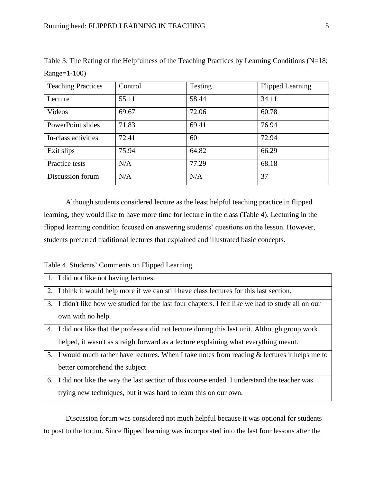| <b>Teaching Practices</b> | Control | Testing | <b>Flipped Learning</b> |
|---------------------------|---------|---------|-------------------------|
| Lecture                   | 55.11   | 58.44   | 34.11                   |
| Videos                    | 69.67   | 72.06   | 60.78                   |
| PowerPoint slides         | 71.83   | 69.41   | 76.94                   |
| In-class activities       | 72.41   | 60      | 72.94                   |
| Exit slips                | 75.94   | 64.82   | 66.29                   |
| Practice tests            | N/A     | 77.29   | 68.18                   |
| Discussion forum          | N/A     | N/A     | 37                      |

Table 3. The Rating of the Helpfulness of the Teaching Practices by Learning Conditions (N=18; Range=1-100)

Although students considered lecture as the least helpful teaching practice in flipped learning, they would like to have more time for lecture in the class (Table 4). Lecturing in the flipped learning condition focused on answering students' questions on the lesson. However, students preferred traditional lectures that explained and illustrated basic concepts.

Table 4. Students' Comments on Flipped Learning

| 1. I did not like not having lectures.                                                             |
|----------------------------------------------------------------------------------------------------|
| 2. I think it would help more if we can still have class lectures for this last section.           |
| 3. I didn't like how we studied for the last four chapters. I felt like we had to study all on our |
| own with no help.                                                                                  |
| 4. I did not like that the professor did not lecture during this last unit. Although group work    |
| helped, it wasn't as straightforward as a lecture explaining what everything meant.                |
| 5. I would much rather have lectures. When I take notes from reading & lectures it helps me to     |
| better comprehend the subject.                                                                     |
| 6. I did not like the way the last section of this course ended. I understand the teacher was      |
| trying new techniques, but it was hard to learn this on our own.                                   |

Discussion forum was considered not much helpful because it was optional for students to post to the forum. Since flipped learning was incorporated into the last four lessons after the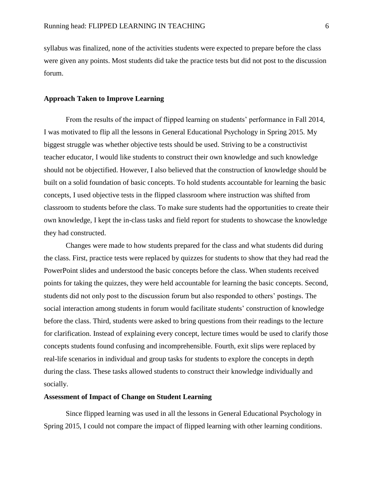syllabus was finalized, none of the activities students were expected to prepare before the class were given any points. Most students did take the practice tests but did not post to the discussion forum.

### **Approach Taken to Improve Learning**

From the results of the impact of flipped learning on students' performance in Fall 2014, I was motivated to flip all the lessons in General Educational Psychology in Spring 2015. My biggest struggle was whether objective tests should be used. Striving to be a constructivist teacher educator, I would like students to construct their own knowledge and such knowledge should not be objectified. However, I also believed that the construction of knowledge should be built on a solid foundation of basic concepts. To hold students accountable for learning the basic concepts, I used objective tests in the flipped classroom where instruction was shifted from classroom to students before the class. To make sure students had the opportunities to create their own knowledge, I kept the in-class tasks and field report for students to showcase the knowledge they had constructed.

Changes were made to how students prepared for the class and what students did during the class. First, practice tests were replaced by quizzes for students to show that they had read the PowerPoint slides and understood the basic concepts before the class. When students received points for taking the quizzes, they were held accountable for learning the basic concepts. Second, students did not only post to the discussion forum but also responded to others' postings. The social interaction among students in forum would facilitate students' construction of knowledge before the class. Third, students were asked to bring questions from their readings to the lecture for clarification. Instead of explaining every concept, lecture times would be used to clarify those concepts students found confusing and incomprehensible. Fourth, exit slips were replaced by real-life scenarios in individual and group tasks for students to explore the concepts in depth during the class. These tasks allowed students to construct their knowledge individually and socially.

#### **Assessment of Impact of Change on Student Learning**

Since flipped learning was used in all the lessons in General Educational Psychology in Spring 2015, I could not compare the impact of flipped learning with other learning conditions.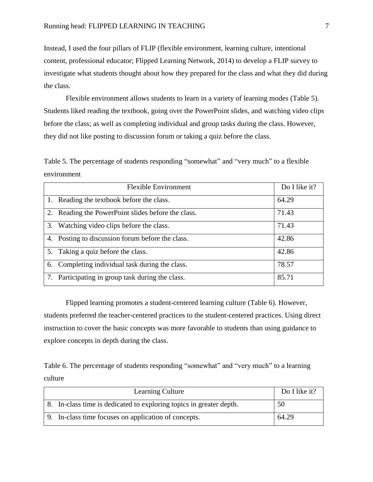Instead, I used the four pillars of FLIP (flexible environment, learning culture, intentional content, professional educator; Flipped Learning Network, 2014) to develop a FLIP survey to investigate what students thought about how they prepared for the class and what they did during the class.

Flexible environment allows students to learn in a variety of learning modes (Table 5). Students liked reading the textbook, going over the PowerPoint slides, and watching video clips before the class; as well as completing individual and group tasks during the class. However, they did not like posting to discussion forum or taking a quiz before the class.

Table 5. The percentage of students responding "somewhat" and "very much" to a flexible environment

| <b>Flexible Environment</b>                        | Do I like it? |
|----------------------------------------------------|---------------|
| 1. Reading the textbook before the class.          | 64.29         |
| 2. Reading the PowerPoint slides before the class. | 71.43         |
| 3. Watching video clips before the class.          | 71.43         |
| 4. Posting to discussion forum before the class.   | 42.86         |
| 5. Taking a quiz before the class.                 | 42.86         |
| 6. Completing individual task during the class.    | 78.57         |
| Participating in group task during the class.      | 85.71         |

Flipped learning promotes a student-centered learning culture (Table 6). However, students preferred the teacher-centered practices to the student-centered practices. Using direct instruction to cover the basic concepts was more favorable to students than using guidance to explore concepts in depth during the class.

Table 6. The percentage of students responding "somewhat" and "very much" to a learning culture

| <b>Learning Culture</b>                                             | Do I like it? |
|---------------------------------------------------------------------|---------------|
| 8. In-class time is dedicated to exploring topics in greater depth. | 50            |
| 9. In-class time focuses on application of concepts.                | 64.29         |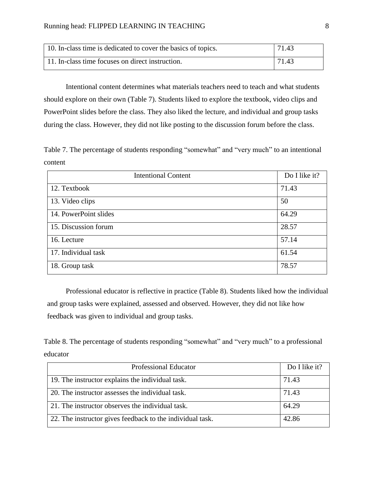| 10. In-class time is dedicated to cover the basics of topics. | 71.43 |
|---------------------------------------------------------------|-------|
| 11. In-class time focuses on direct instruction.              | 71.43 |

Intentional content determines what materials teachers need to teach and what students should explore on their own (Table 7). Students liked to explore the textbook, video clips and PowerPoint slides before the class. They also liked the lecture, and individual and group tasks during the class. However, they did not like posting to the discussion forum before the class.

Table 7. The percentage of students responding "somewhat" and "very much" to an intentional content

| <b>Intentional Content</b> | Do I like it? |
|----------------------------|---------------|
| 12. Textbook               | 71.43         |
| 13. Video clips            | 50            |
| 14. PowerPoint slides      | 64.29         |
| 15. Discussion forum       | 28.57         |
| 16. Lecture                | 57.14         |
| 17. Individual task        | 61.54         |
| 18. Group task             | 78.57         |

Professional educator is reflective in practice (Table 8). Students liked how the individual and group tasks were explained, assessed and observed. However, they did not like how feedback was given to individual and group tasks.

Table 8. The percentage of students responding "somewhat" and "very much" to a professional educator

| <b>Professional Educator</b>                              | Do I like it? |
|-----------------------------------------------------------|---------------|
| 19. The instructor explains the individual task.          | 71.43         |
| 20. The instructor assesses the individual task.          | 71.43         |
| 21. The instructor observes the individual task.          | 64.29         |
| 22. The instructor gives feedback to the individual task. | 42.86         |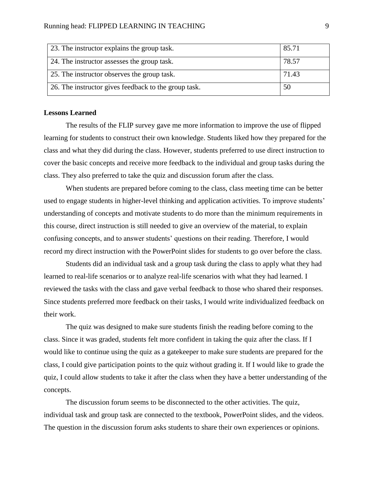| 23. The instructor explains the group task.          | 85.71 |
|------------------------------------------------------|-------|
| 24. The instructor assesses the group task.          | 78.57 |
| 25. The instructor observes the group task.          | 71.43 |
| 26. The instructor gives feedback to the group task. | 50    |

#### **Lessons Learned**

The results of the FLIP survey gave me more information to improve the use of flipped learning for students to construct their own knowledge. Students liked how they prepared for the class and what they did during the class. However, students preferred to use direct instruction to cover the basic concepts and receive more feedback to the individual and group tasks during the class. They also preferred to take the quiz and discussion forum after the class.

When students are prepared before coming to the class, class meeting time can be better used to engage students in higher-level thinking and application activities. To improve students' understanding of concepts and motivate students to do more than the minimum requirements in this course, direct instruction is still needed to give an overview of the material, to explain confusing concepts, and to answer students' questions on their reading. Therefore, I would record my direct instruction with the PowerPoint slides for students to go over before the class.

Students did an individual task and a group task during the class to apply what they had learned to real-life scenarios or to analyze real-life scenarios with what they had learned. I reviewed the tasks with the class and gave verbal feedback to those who shared their responses. Since students preferred more feedback on their tasks, I would write individualized feedback on their work.

The quiz was designed to make sure students finish the reading before coming to the class. Since it was graded, students felt more confident in taking the quiz after the class. If I would like to continue using the quiz as a gatekeeper to make sure students are prepared for the class, I could give participation points to the quiz without grading it. If I would like to grade the quiz, I could allow students to take it after the class when they have a better understanding of the concepts.

The discussion forum seems to be disconnected to the other activities. The quiz, individual task and group task are connected to the textbook, PowerPoint slides, and the videos. The question in the discussion forum asks students to share their own experiences or opinions.